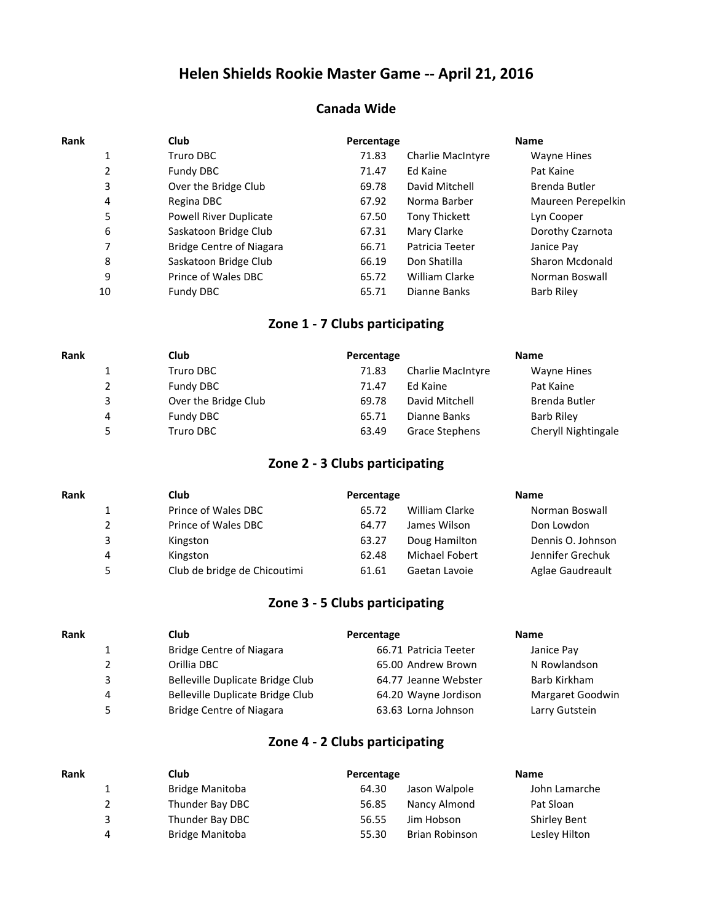# **Helen Shields Rookie Master Game -- April 21, 2016**

#### **Canada Wide**

| Rank |    | <b>Club</b>                     | Percentage |                          | <b>Name</b>        |
|------|----|---------------------------------|------------|--------------------------|--------------------|
|      |    | Truro DBC                       | 71.83      | <b>Charlie MacIntyre</b> | Wayne Hines        |
|      | 2  | Fundy DBC                       | 71.47      | Ed Kaine                 | Pat Kaine          |
|      | 3  | Over the Bridge Club            | 69.78      | David Mitchell           | Brenda Butler      |
|      | 4  | Regina DBC                      | 67.92      | Norma Barber             | Maureen Perepelkin |
|      | 5  | <b>Powell River Duplicate</b>   | 67.50      | <b>Tony Thickett</b>     | Lyn Cooper         |
|      | 6  | Saskatoon Bridge Club           | 67.31      | Mary Clarke              | Dorothy Czarnota   |
|      | 7  | <b>Bridge Centre of Niagara</b> | 66.71      | Patricia Teeter          | Janice Pay         |
|      | 8  | Saskatoon Bridge Club           | 66.19      | Don Shatilla             | Sharon Mcdonald    |
|      | 9  | Prince of Wales DBC             | 65.72      | William Clarke           | Norman Boswall     |
|      | 10 | Fundy DBC                       | 65.71      | Dianne Banks             | <b>Barb Riley</b>  |
|      |    |                                 |            |                          |                    |

#### **Zone 1 - 7 Clubs participating**

| Rank | <b>Club</b> |                      | Percentage |                          | <b>Name</b>         |  |
|------|-------------|----------------------|------------|--------------------------|---------------------|--|
|      |             | Truro DBC            | 71.83      | <b>Charlie MacIntyre</b> | Wayne Hines         |  |
|      | 2           | Fundy DBC            | 71.47      | Ed Kaine                 | Pat Kaine           |  |
|      | 3           | Over the Bridge Club | 69.78      | David Mitchell           | Brenda Butler       |  |
| 4    |             | Fundy DBC            | 65.71      | Dianne Banks             | Barb Riley          |  |
|      | 5.          | Truro DBC            | 63.49      | Grace Stephens           | Cheryll Nightingale |  |

#### **Zone 2 - 3 Clubs participating**

| Rank |    | Club                         | Percentage |                       | <b>Name</b>       |
|------|----|------------------------------|------------|-----------------------|-------------------|
|      |    | Prince of Wales DBC          | 65.72      | William Clarke        | Norman Boswall    |
|      |    | Prince of Wales DBC          | 64.77      | James Wilson          | Don Lowdon        |
|      | 3  | Kingston                     | 63.27      | Doug Hamilton         | Dennis O. Johnson |
|      | 4  | Kingston                     | 62.48      | <b>Michael Fobert</b> | Jennifer Grechuk  |
|      | 5. | Club de bridge de Chicoutimi | 61.61      | Gaetan Lavoie         | Aglae Gaudreault  |

### **Zone 3 - 5 Clubs participating**

| Rank |    | <b>Club</b>                      | Percentage            | <b>Name</b>      |
|------|----|----------------------------------|-----------------------|------------------|
|      |    | <b>Bridge Centre of Niagara</b>  | 66.71 Patricia Teeter | Janice Pay       |
|      |    | Orillia DBC                      | 65.00 Andrew Brown    | N Rowlandson     |
|      | 3  | Belleville Duplicate Bridge Club | 64.77 Jeanne Webster  | Barb Kirkham     |
|      | 4  | Belleville Duplicate Bridge Club | 64.20 Wayne Jordison  | Margaret Goodwin |
|      | 5. | <b>Bridge Centre of Niagara</b>  | 63.63 Lorna Johnson   | Larry Gutstein   |
|      |    |                                  |                       |                  |

#### **Zone 4 - 2 Clubs participating**

| <b>Rank</b> | Club                   | Percentage                     | <b>Name</b>         |
|-------------|------------------------|--------------------------------|---------------------|
|             | <b>Bridge Manitoba</b> | Jason Walpole<br>64.30         | John Lamarche       |
| 2           | Thunder Bay DBC        | Nancy Almond<br>56.85          | Pat Sloan           |
| 3           | Thunder Bay DBC        | Jim Hobson<br>56.55            | <b>Shirley Bent</b> |
| 4           | <b>Bridge Manitoba</b> | <b>Brian Robinson</b><br>55.30 | Lesley Hilton       |